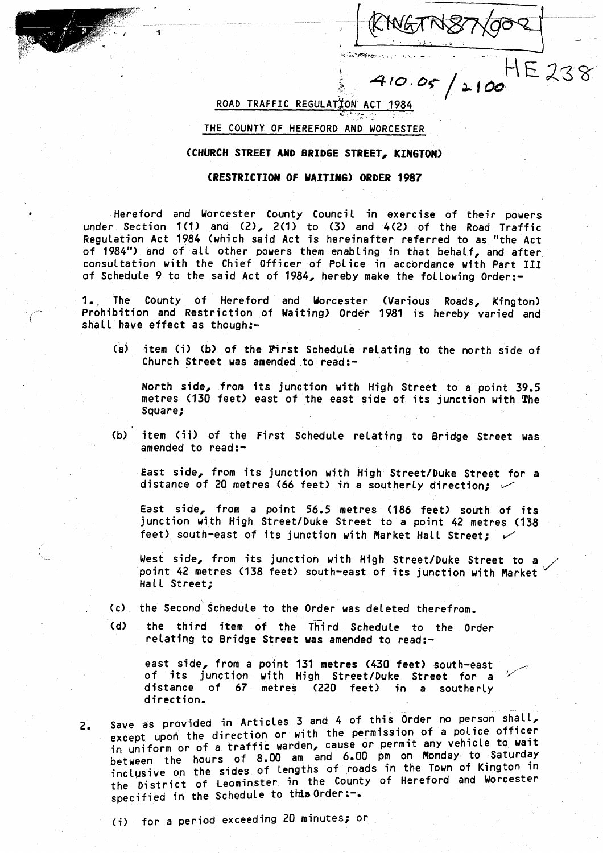$2100$ 

IE 238

ROAD TRAFFIC REGULATION ACT 1984

÷.

## THE COUNTY OF HEREFORD AND WORCESTER

## (CHURCH STREET AND BRIDGE STREET, KINGTON)

## (RESTRICTION OF WAITING) ORDER 1987

Hereford and Worcester County Council in exercise of their powers under Section  $1(1)$  and  $(2)$ ,  $2(1)$  to  $(3)$  and  $4(2)$  of the Road Traffic Regulation Act 1984 (which said Act is hereinafter referred to as "the Act of 1984") and of all other powers them enabling in that behalf, and after consultation with the Chief Officer of Police in accordance with Part III of Schedule 9 to the said Act of 1984, hereby make the following Order :-

1. The County of Hereford and Worcester (Various Roads, Kington) Prohibition and Restriction of Waiting) Order 1981 is hereby varied and shall have effect as though:-

(a) item (i) (b) of the First Schedule relating to the north side of Church Street was amended to read:-

North side, from its junction with High Street to a point 39 .5 metres (130 feet) east of the east side of its junction with The Square;

(b) item (ii) of the First Schedule relating to Bridge Street was amended to read:-

East side, from its junction with High Street/Duke Street for a distance of 20 metres (66 feet) in a southerly direction;  $\checkmark$ 

East side, from a point 56 .5 metres (186 feet) south of its junction with High Street/Duke Street to a point 42 metres (138 feet) south-east of its junction with Market Hall Street;  $\checkmark$ 

West side, from its junction with High Street/Duke Street to a point 42 metres (138 feet) south-east of its junction with Market  $^{\vee}$ Hall Street:

- (c) the Second Schedule to the Order was deleted therefrom .
- (d) the third item of the Third Schedule to the Order relating to Bridge Street was amended to read:-

east side, from a point 131 metres (430 feet) south-east of its junction with High Street/Duke Street for a distance of 67 metres (220 feet) in <sup>a</sup> southerly direction .

2. Save as provided in Articles 3 and 4 of this Order no person shall, except upon the direction or with the permission of a police officer in uniform or of <sup>a</sup> traffic warden, cause or permit any vehicle to wait between the hours of <sup>8</sup> .00 am and <sup>6</sup> .00 pm on Monday to Saturday inclusive on the sides of lengths of roads in the Town of Kington in the District of Leominster in the County of Hereford and Worcester specified in the Schedule to this Order :-.

(i) for a period exceeding 20 minutes; or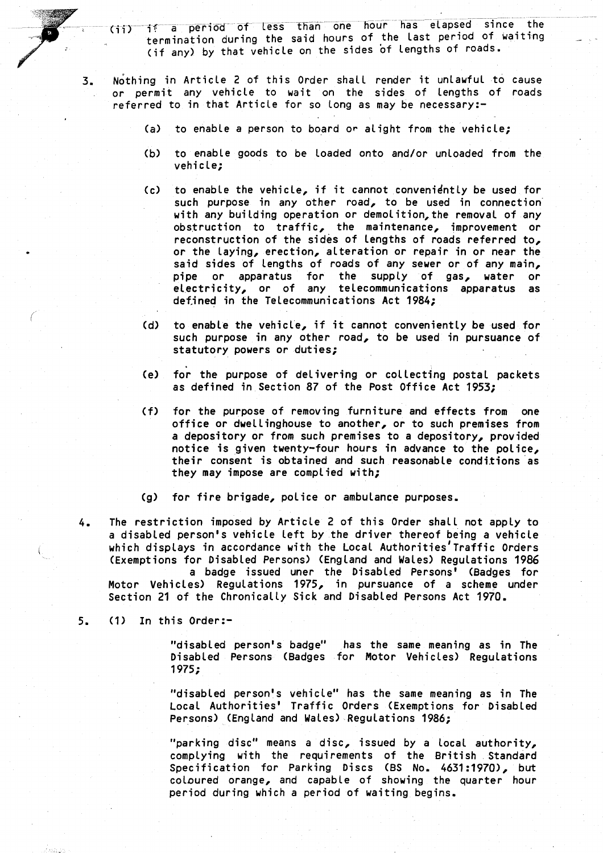(ii) if a period of less than one hour has elapsed since the termination during the said hours of the last period of waiting (if any) by that vehicle on the sides of lengths of roads .

- 3 . Nothing in Article 2 of this Order shall render it unlawful to cause or permit any vehicle to wait on the sides of lengths of roads referred to in that Article for so long as may be necessary:-
	- (a) to enable a person to board or alight from the vehicle;
	- (b) to enable goods to be loaded onto and/or unloaded from the vehicle;
	- (c) to enable the vehicle, if it cannot conveniently be used for such purpose in any other road, to be used in connection with any building operation or demolition, the removal of any obstruction to traffic, the maintenance, improvement or reconstruction of the sides of lengths of roads referred to, or the laying, erection, alteration or repair in or near the said sides of lengths of roads of any sewer or of any main, pipe or apparatus for the supply of gas, water or electricity, or of any telecommunications apparatus as defined in the Telecommunications Act 1984;
	- (d) to enable the vehicle, if it cannot conveniently be used for such purpose in any other road, to be used in pursuance of statutory powers or duties;
	- (e) for the purpose of delivering or collecting postal packets as defined in Section 87 of the Post Office Act 1953;
	- (f) for the purpose of removing furniture and effects from one office or dwellinghouse to another, or to such premises from a depository or from such premises to <sup>a</sup> depository, provided notice is given twenty-four hours in advance to the police, their consent is obtained and such reasonable conditions as they may impose are complied with;
	- (g) for fire brigade, police or ambulance purposes .
- 4. The restriction imposed by Article 2 of this Order shall not apply to <sup>a</sup> disabled person's vehicle Left by the driver thereof being a vehicle which displays in accordance with the Local Authorities'Traffic Orders (Exemptions for Disabled Persons) (England and Wales) Regulations 1986

<sup>a</sup> badge issued uner the Disabled Persons' (Badges for Motor Vehicles) Regulations 1975, in pursuance of <sup>a</sup> scheme under Section 21 of the Chronically Sick and Disabled Persons Act 1970 .

5. (1) In this Order:-

"disabled person's badge" has the same meaning as in The Disabled Persons (Badges for Motor Vehicles) Regulations 1975;

"disabled person's vehicle" has the same meaning as in The Local Authorities' Traffic Orders (Exemptions for Disabled Persons) (England and Wales) Regulations 1986 ;

"parking disc" means <sup>a</sup> disc, issued by a local authority, complying with the requirements of the British Standard Specification for Parking Discs (BS No . 4631 :1970), but coloured orange, and capable of showing the quarter hour period during which a period of waiting begins .